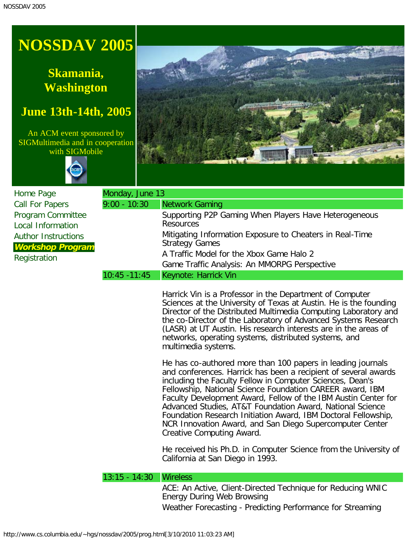## **NOSSDAV 2005**

## **Skamania, Washington**

## **June 13th-14th, 2005**

An ACM event sponsored by SIGMultimedia and in cooperation with SIGMobile





| Home Page                                             | Monday, June 13 |                                                                                   |
|-------------------------------------------------------|-----------------|-----------------------------------------------------------------------------------|
| <b>Call For Papers</b>                                | $9:00 - 10:30$  | Network Gaming                                                                    |
| Program Committee<br><b>Local Information</b>         |                 | Supporting P2P Gaming When Players Have Heterogeneous<br><b>Resources</b>         |
| <b>Author Instructions</b><br><b>Workshop Program</b> |                 | Mitigating Information Exposure to Cheaters in Real-Time<br><b>Strategy Games</b> |
| Registration                                          |                 | A Traffic Model for the Xbox Game Halo 2                                          |
|                                                       |                 | Game Traffic Analysis: An MMORPG Perspective                                      |
|                                                       | $10:45 - 11:45$ | Keynote: Harrick Vin                                                              |

Harrick Vin is a Professor in the Department of Computer Sciences at the University of Texas at Austin. He is the founding Director of the Distributed Multimedia Computing Laboratory and the co-Director of the Laboratory of Advanced Systems Research (LASR) at UT Austin. His research interests are in the areas of networks, operating systems, distributed systems, and multimedia systems.

He has co-authored more than 100 papers in leading journals and conferences. Harrick has been a recipient of several awards including the Faculty Fellow in Computer Sciences, Dean's Fellowship, National Science Foundation CAREER award, IBM Faculty Development Award, Fellow of the IBM Austin Center for Advanced Studies, AT&T Foundation Award, National Science Foundation Research Initiation Award, IBM Doctoral Fellowship, NCR Innovation Award, and San Diego Supercomputer Center Creative Computing Award.

He received his Ph.D. in Computer Science from the University of California at San Diego in 1993.

## 13:15 - 14:30 Wireless

ACE: An Active, Client-Directed Technique for Reducing WNIC Energy During Web Browsing Weather Forecasting - Predicting Performance for Streaming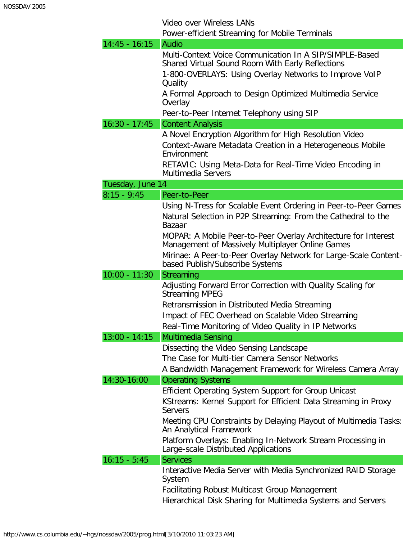Video over Wireless LANs

Power-efficient Streaming for Mobile Terminals

| $14:45 - 16:15$  | Audio                                                                                                                                                                                                               |
|------------------|---------------------------------------------------------------------------------------------------------------------------------------------------------------------------------------------------------------------|
|                  | Multi-Context Voice Communication In A SIP/SIMPLE-Based                                                                                                                                                             |
|                  | Shared Virtual Sound Room With Early Reflections                                                                                                                                                                    |
|                  | 1-800-OVERLAYS: Using Overlay Networks to Improve VoIP<br>Quality                                                                                                                                                   |
|                  | A Formal Approach to Design Optimized Multimedia Service<br>Overlay                                                                                                                                                 |
|                  | Peer-to-Peer Internet Telephony using SIP                                                                                                                                                                           |
| $16:30 - 17:45$  | <b>Content Analysis</b>                                                                                                                                                                                             |
|                  | A Novel Encryption Algorithm for High Resolution Video<br>Context-Aware Metadata Creation in a Heterogeneous Mobile<br>Environment<br>RETAVIC: Using Meta-Data for Real-Time Video Encoding in                      |
|                  | <b>Multimedia Servers</b>                                                                                                                                                                                           |
| Tuesday, June 14 |                                                                                                                                                                                                                     |
| $8:15 - 9:45$    | Peer-to-Peer                                                                                                                                                                                                        |
|                  | Using N-Tress for Scalable Event Ordering in Peer-to-Peer Games<br>Natural Selection in P2P Streaming: From the Cathedral to the<br>Bazaar                                                                          |
|                  | MOPAR: A Mobile Peer-to-Peer Overlay Architecture for Interest<br>Management of Massively Multiplayer Online Games                                                                                                  |
|                  | Mirinae: A Peer-to-Peer Overlay Network for Large-Scale Content-<br>based Publish/Subscribe Systems                                                                                                                 |
|                  |                                                                                                                                                                                                                     |
| $10:00 - 11:30$  | Streaming                                                                                                                                                                                                           |
|                  | Adjusting Forward Error Correction with Quality Scaling for<br><b>Streaming MPEG</b><br>Retransmission in Distributed Media Streaming<br>Impact of FEC Overhead on Scalable Video Streaming                         |
| $13:00 - 14:15$  | Real-Time Monitoring of Video Quality in IP Networks                                                                                                                                                                |
|                  | Multimedia Sensing<br>Dissecting the Video Sensing Landscape<br>The Case for Multi-tier Camera Sensor Networks<br>A Bandwidth Management Framework for Wireless Camera Array                                        |
| 14:30-16:00      | <b>Operating Systems</b>                                                                                                                                                                                            |
|                  | <b>Efficient Operating System Support for Group Unicast</b><br>KStreams: Kernel Support for Efficient Data Streaming in Proxy<br><b>Servers</b><br>Meeting CPU Constraints by Delaying Playout of Multimedia Tasks: |
|                  | An Analytical Framework<br>Platform Overlays: Enabling In-Network Stream Processing in<br>Large-scale Distributed Applications                                                                                      |
| $16:15 - 5:45$   | <b>Services</b>                                                                                                                                                                                                     |